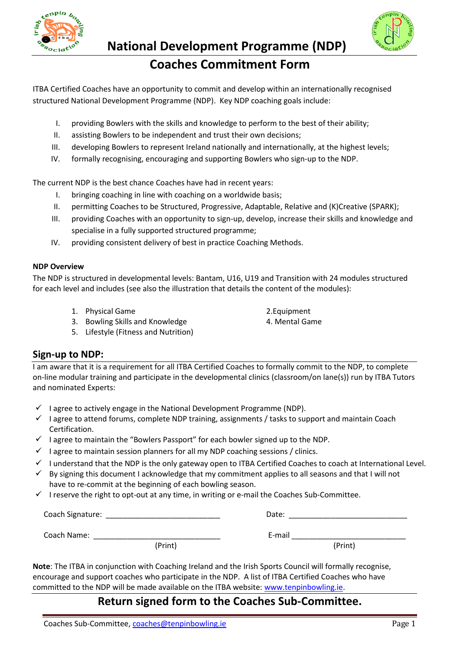

# **National Development Programme (NDP)**

# **Coaches Commitment Form**

ITBA Certified Coaches have an opportunity to commit and develop within an internationally recognised structured National Development Programme (NDP). Key NDP coaching goals include:

- I. providing Bowlers with the skills and knowledge to perform to the best of their ability;
- II. assisting Bowlers to be independent and trust their own decisions;
- III. developing Bowlers to represent Ireland nationally and internationally, at the highest levels;
- IV. formally recognising, encouraging and supporting Bowlers who sign-up to the NDP.

The current NDP is the best chance Coaches have had in recent years:

- I. bringing coaching in line with coaching on a worldwide basis;
- II. permitting Coaches to be Structured, Progressive, Adaptable, Relative and (K)Creative (SPARK);
- III. providing Coaches with an opportunity to sign-up, develop, increase their skills and knowledge and specialise in a fully supported structured programme;
- IV. providing consistent delivery of best in practice Coaching Methods.

#### **NDP Overview**

The NDP is structured in developmental levels: Bantam, U16, U19 and Transition with 24 modules structured for each level and includes (see also the illustration that details the content of the modules):

- 1. Physical Game 2.Equipment
	-
- 3. Bowling Skills and Knowledge 4. Mental Game
- 5. Lifestyle (Fitness and Nutrition)

### **Sign-up to NDP:**

I am aware that it is a requirement for all ITBA Certified Coaches to formally commit to the NDP, to complete on-line modular training and participate in the developmental clinics (classroom/on lane(s)) run by ITBA Tutors and nominated Experts:

- $\checkmark$  I agree to actively engage in the National Development Programme (NDP).
- $\checkmark$  I agree to attend forums, complete NDP training, assignments / tasks to support and maintain Coach Certification.
- $\checkmark$  I agree to maintain the "Bowlers Passport" for each bowler signed up to the NDP.
- $\checkmark$  I agree to maintain session planners for all my NDP coaching sessions / clinics.
- $\checkmark$  I understand that the NDP is the only gateway open to ITBA Certified Coaches to coach at International Level.
- $\checkmark$  By signing this document I acknowledge that my commitment applies to all seasons and that I will not have to re-commit at the beginning of each bowling season.
- $\checkmark$  I reserve the right to opt-out at any time, in writing or e-mail the Coaches Sub-Committee.

| Coach Signature: |         | Date:  |         |  |
|------------------|---------|--------|---------|--|
|                  |         |        |         |  |
| Coach Name:      |         | E-mail |         |  |
|                  | (Print) |        | (Print) |  |

**Note**: The ITBA in conjunction with Coaching Ireland and the Irish Sports Council will formally recognise, encourage and support coaches who participate in the NDP. A list of ITBA Certified Coaches who have committed to the NDP will be made available on the ITBA website: [www.tenpinbowling.ie.](http://www.tenpinbowling.ie/)

# **Return signed form to the Coaches Sub-Committee.**

- -